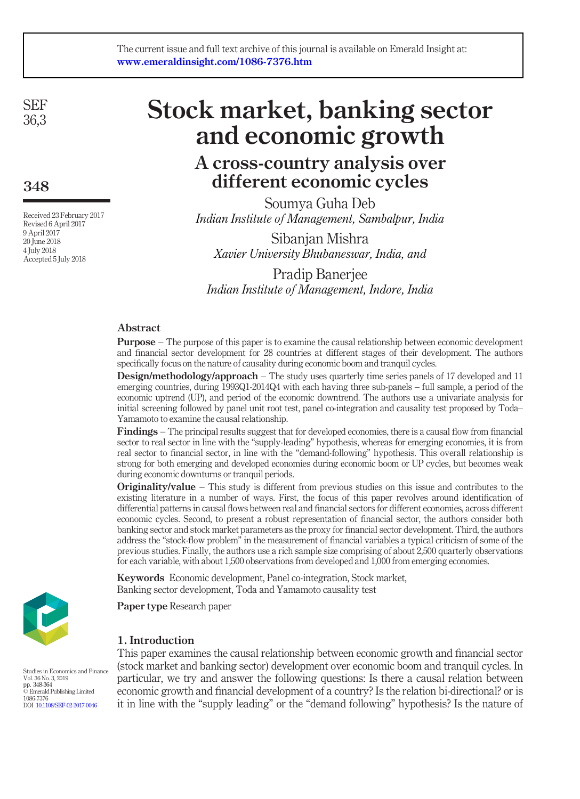SEF 36,3

348

Received 23 February 2017 Revised 6 April 2017 9 April 2017 20 June 2018 4 July 2018 Accepted 5 July 2018

# Stock market, banking sector and economic growth

# A cross-country analysis over different economic cycles

Soumya Guha Deb *Indian Institute of Management, Sambalpur, India*

Sibanjan Mishra *Xavier University Bhubaneswar, India, and*

Pradip Banerjee *Indian Institute of Management, Indore, India*

### Abstract

Purpose – The purpose of this paper is to examine the causal relationship between economic development and financial sector development for 28 countries at different stages of their development. The authors specifically focus on the nature of causality during economic boom and tranquil cycles.

Design/methodology/approach – The study uses quarterly time series panels of 17 developed and 11 emerging countries, during 1993Q1-2014Q4 with each having three sub-panels – full sample, a period of the economic uptrend (UP), and period of the economic downtrend. The authors use a univariate analysis for initial screening followed by panel unit root test, panel co-integration and causality test proposed by Toda– Yamamoto to examine the causal relationship.

Findings – The principal results suggest that for developed economies, there is a causal flow from financial sector to real sector in line with the "supply-leading" hypothesis, whereas for emerging economies, it is from real sector to financial sector, in line with the "demand-following" hypothesis. This overall relationship is strong for both emerging and developed economies during economic boom or UP cycles, but becomes weak during economic downturns or tranquil periods.

**Originality/value** – This study is different from previous studies on this issue and contributes to the existing literature in a number of ways. First, the focus of this paper revolves around identification of differential patterns in causal flows between real and financial sectors for different economies, across different economic cycles. Second, to present a robust representation of financial sector, the authors consider both banking sector and stock market parameters as the proxy for financial sector development. Third, the authors address the "stock-flow problem" in the measurement of financial variables a typical criticism of some of the previous studies. Finally, the authors use a rich sample size comprising of about 2,500 quarterly observations for each variable, with about 1,500 observations from developed and 1,000 from emerging economies.

Keywords Economic development, Panel co-integration, Stock market, Banking sector development, Toda and Yamamoto causality test

Paper type Research paper

# 1. Introduction

This paper examines the causal relationship between economic growth and financial sector (stock market and banking sector) development over economic boom and tranquil cycles. In particular, we try and answer the following questions: Is there a causal relation between economic growth and financial development of a country? Is the relation bi-directional? or is it in line with the "supply leading" or the "demand following" hypothesis? Is the nature of



Studies in Economics and Finance Vol. 36 No. 3, 2019 pp. 348-364 © Emerald Publishing Limited 1086-7376 DOI 10.1108/SEF-02-2017-0046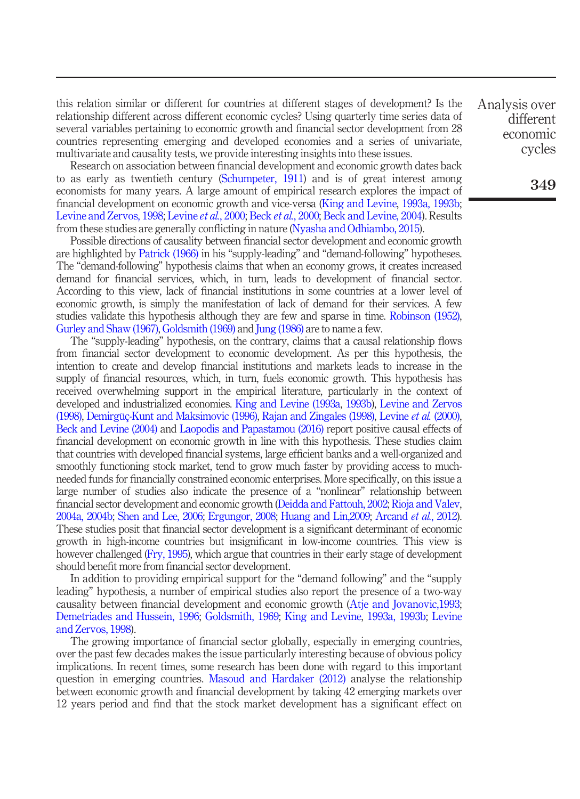this relation similar or different for countries at different stages of development? Is the relationship different across different economic cycles? Using quarterly time series data of several variables pertaining to economic growth and financial sector development from 28 countries representing emerging and developed economies and a series of univariate, multivariate and causality tests, we provide interesting insights into these issues.

Research on association between financial development and economic growth dates back to as early as twentieth century (Schumpeter, 1911) and is of great interest among economists for many years. A large amount of empirical research explores the impact of financial development on economic growth and vice-versa (King and Levine, 1993a, 1993b; Levine and Zervos, 1998; Levine *et al.*, 2000; Beck *et al.*, 2000; Beck and Levine, 2004). Results from these studies are generally conflicting in nature (Nyasha and Odhiambo, 2015).

Possible directions of causality between financial sector development and economic growth are highlighted by Patrick (1966) in his "supply-leading" and "demand-following" hypotheses. The "demand-following" hypothesis claims that when an economy grows, it creates increased demand for financial services, which, in turn, leads to development of financial sector. According to this view, lack of financial institutions in some countries at a lower level of economic growth, is simply the manifestation of lack of demand for their services. A few studies validate this hypothesis although they are few and sparse in time. Robinson (1952), Gurley and Shaw (1967), Goldsmith (1969) and Jung (1986) are to name a few.

The "supply-leading" hypothesis, on the contrary, claims that a causal relationship flows from financial sector development to economic development. As per this hypothesis, the intention to create and develop financial institutions and markets leads to increase in the supply of financial resources, which, in turn, fuels economic growth. This hypothesis has received overwhelming support in the empirical literature, particularly in the context of developed and industrialized economies. King and Levine (1993a, 1993b), Levine and Zervos (1998), Demirgüç-Kunt and Maksimovic (1996), Rajan and Zingales (1998), Levine *et al.* (2000), Beck and Levine (2004) and Laopodis and Papastamou (2016) report positive causal effects of financial development on economic growth in line with this hypothesis. These studies claim that countries with developed financial systems, large efficient banks and a well-organized and smoothly functioning stock market, tend to grow much faster by providing access to muchneeded funds for financially constrained economic enterprises. More specifically, on this issue a large number of studies also indicate the presence of a "nonlinear" relationship between financial sector development and economic growth (Deidda and Fattouh, 2002; Rioja and Valev, 2004a, 2004b; Shen and Lee, 2006; Ergungor, 2008; Huang and Lin,2009; Arcand *et al.*, 2012). These studies posit that financial sector development is a significant determinant of economic growth in high-income countries but insignificant in low-income countries. This view is however challenged (Fry, 1995), which argue that countries in their early stage of development should benefit more from financial sector development.

In addition to providing empirical support for the "demand following" and the "supply leading" hypothesis, a number of empirical studies also report the presence of a two-way causality between financial development and economic growth (Atje and Jovanovic,1993; Demetriades and Hussein, 1996; Goldsmith, 1969; King and Levine, 1993a, 1993b; Levine and Zervos, 1998).

The growing importance of financial sector globally, especially in emerging countries, over the past few decades makes the issue particularly interesting because of obvious policy implications. In recent times, some research has been done with regard to this important question in emerging countries. Masoud and Hardaker (2012) analyse the relationship between economic growth and financial development by taking 42 emerging markets over 12 years period and find that the stock market development has a significant effect on Analysis over different economic cycles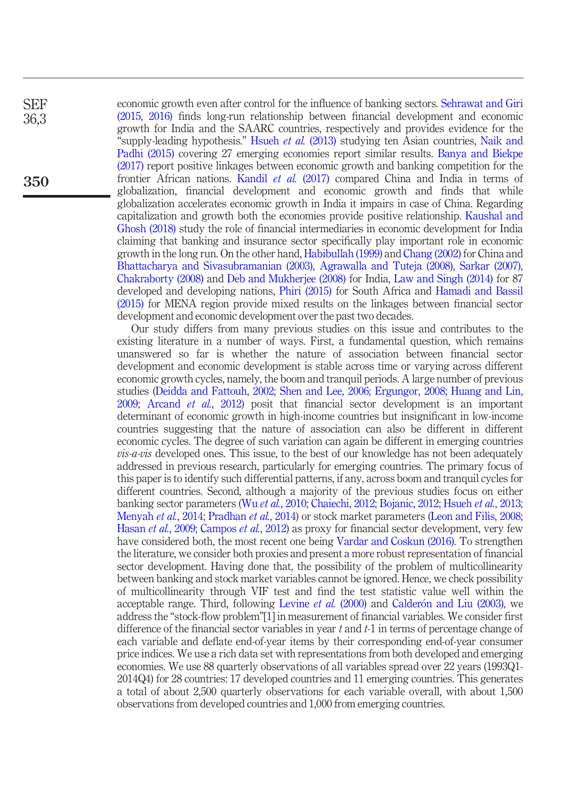SEF 36,3

350

economic growth even after control for the influence of banking sectors. Sehrawat and Giri (2015, 2016) finds long-run relationship between financial development and economic growth for India and the SAARC countries, respectively and provides evidence for the "supply-leading hypothesis." Hsueh *et al.* (2013) studying ten Asian countries, Naik and Padhi (2015) covering 27 emerging economies report similar results. Banya and Biekpe (2017) report positive linkages between economic growth and banking competition for the frontier African nations. Kandil *et al.* (2017) compared China and India in terms of globalization, financial development and economic growth and finds that while globalization accelerates economic growth in India it impairs in case of China. Regarding capitalization and growth both the economies provide positive relationship. Kaushal and Ghosh (2018) study the role of financial intermediaries in economic development for India claiming that banking and insurance sector specifically play important role in economic growth in the long run. On the other hand, Habibullah (1999) and Chang (2002) for China and Bhattacharya and Sivasubramanian (2003), Agrawalla and Tuteja (2008), Sarkar (2007), Chakraborty (2008) and Deb and Mukherjee (2008) for India, Law and Singh (2014) for 87 developed and developing nations, Phiri (2015) for South Africa and Hamadi and Bassil (2015) for MENA region provide mixed results on the linkages between financial sector development and economic development over the past two decades.

Our study differs from many previous studies on this issue and contributes to the existing literature in a number of ways. First, a fundamental question, which remains unanswered so far is whether the nature of association between financial sector development and economic development is stable across time or varying across different economic growth cycles, namely, the boom and tranquil periods. A large number of previous studies (Deidda and Fattouh, 2002; Shen and Lee, 2006; Ergungor, 2008; Huang and Lin, 2009; Arcand *et al.*, 2012) posit that financial sector development is an important determinant of economic growth in high-income countries but insignificant in low-income countries suggesting that the nature of association can also be different in different economic cycles. The degree of such variation can again be different in emerging countries *vis-a-vis* developed ones. This issue, to the best of our knowledge has not been adequately addressed in previous research, particularly for emerging countries. The primary focus of this paper is to identify such differential patterns, if any, across boom and tranquil cycles for different countries. Second, although a majority of the previous studies focus on either banking sector parameters (Wu *et al.*, 2010; Chaiechi, 2012; Bojanic, 2012; Hsueh *et al.*, 2013; Menyah *et al.*, 2014; Pradhan *et al.*, 2014) or stock market parameters (Leon and Filis, 2008; Hasan *et al.*, 2009; Campos *et al.*, 2012) as proxy for financial sector development, very few have considered both, the most recent one being Vardar and Coskun (2016). To strengthen the literature, we consider both proxies and present a more robust representation of financial sector development. Having done that, the possibility of the problem of multicollinearity between banking and stock market variables cannot be ignored. Hence, we check possibility of multicollinearity through VIF test and find the test statistic value well within the acceptable range. Third, following Levine *et al.* (2000) and Calderón and Liu (2003), we address the "stock-flow problem"[1] in measurement of financial variables. We consider first difference of the financial sector variables in year *t* and *t-*1 in terms of percentage change of each variable and deflate end-of-year items by their corresponding end-of-year consumer price indices. We use a rich data set with representations from both developed and emerging economies. We use 88 quarterly observations of all variables spread over 22 years (1993Q1- 2014Q4) for 28 countries: 17 developed countries and 11 emerging countries. This generates a total of about 2,500 quarterly observations for each variable overall, with about 1,500 observations from developed countries and 1,000 from emerging countries.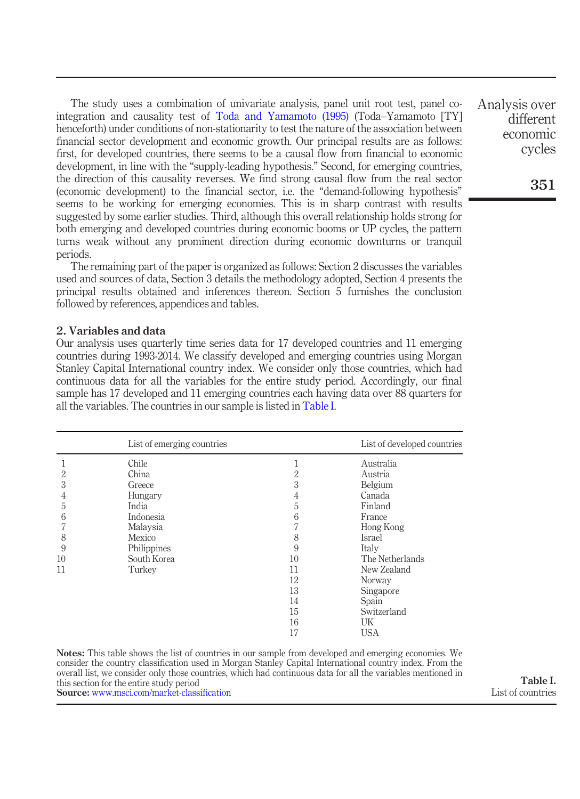The study uses a combination of univariate analysis, panel unit root test, panel cointegration and causality test of Toda and Yamamoto (1995) (Toda–Yamamoto [TY] henceforth) under conditions of non-stationarity to test the nature of the association between financial sector development and economic growth. Our principal results are as follows: first, for developed countries, there seems to be a causal flow from financial to economic development, in line with the "supply-leading hypothesis." Second, for emerging countries, the direction of this causality reverses. We find strong causal flow from the real sector (economic development) to the financial sector, i.e. the "demand-following hypothesis" seems to be working for emerging economies. This is in sharp contrast with results suggested by some earlier studies. Third, although this overall relationship holds strong for both emerging and developed countries during economic booms or UP cycles, the pattern turns weak without any prominent direction during economic downturns or tranquil periods.

The remaining part of the paper is organized as follows: Section 2 discusses the variables used and sources of data, Section 3 details the methodology adopted, Section 4 presents the principal results obtained and inferences thereon. Section 5 furnishes the conclusion followed by references, appendices and tables.

#### 2. Variables and data

Our analysis uses quarterly time series data for 17 developed countries and 11 emerging countries during 1993-2014. We classify developed and emerging countries using Morgan Stanley Capital International country index. We consider only those countries, which had continuous data for all the variables for the entire study period. Accordingly, our final sample has 17 developed and 11 emerging countries each having data over 88 quarters for all the variables. The countries in our sample is listed in Table I.

|    | List of emerging countries |    | List of developed countries |
|----|----------------------------|----|-----------------------------|
|    | Chile                      |    | Australia                   |
| 2  | China                      | 2  | Austria                     |
| 3  | Greece                     | 3  | Belgium                     |
| 4  | Hungary                    | 4  | Canada                      |
| 5  | India                      | 5  | Finland                     |
| 6  | Indonesia                  | 6  | France                      |
|    | Malaysia                   |    | Hong Kong                   |
| 8  | Mexico                     | 8  | <b>Israel</b>               |
| 9  | Philippines                | 9  | Italy                       |
| 10 | South Korea                | 10 | The Netherlands             |
| 11 | Turkey                     | 11 | New Zealand                 |
|    |                            | 12 | Norway                      |
|    |                            | 13 | Singapore                   |
|    |                            | 14 | Spain                       |
|    |                            | 15 | Switzerland                 |
|    |                            | 16 | UK                          |
|    |                            | 17 | <b>USA</b>                  |

Notes: This table shows the list of countries in our sample from developed and emerging economies. We consider the country classification used in Morgan Stanley Capital International country index. From the overall list, we consider only those countries, which had continuous data for all the variables mentioned in this section for the entire study period Source: www.msci.com/market-classification

economic cycles

Analysis over different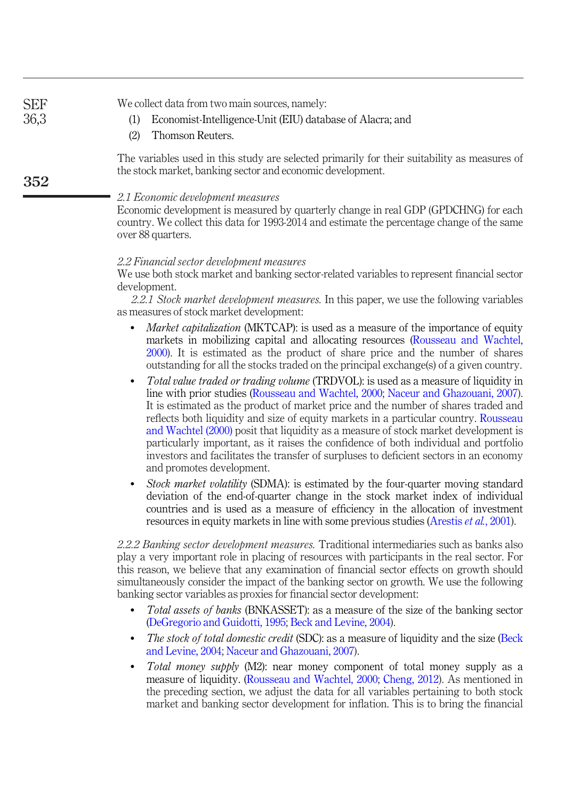| <b>SEF</b><br>36,3 | We collect data from two main sources, namely:<br>Economist-Intelligence-Unit (EIU) database of Alacra; and<br>(1)<br>Thomson Reuters.<br>(2)                                                                                                                                                                                                                    |
|--------------------|------------------------------------------------------------------------------------------------------------------------------------------------------------------------------------------------------------------------------------------------------------------------------------------------------------------------------------------------------------------|
| 352                | The variables used in this study are selected primarily for their suitability as measures of<br>the stock market, banking sector and economic development.                                                                                                                                                                                                       |
|                    | 2.1 Economic development measures<br>Economic development is measured by quarterly change in real GDP (GPDCHNG) for each<br>country. We collect this data for 1993-2014 and estimate the percentage change of the same<br>over 88 quarters.                                                                                                                      |
|                    | 2.2 Financial sector development measures<br>We use both stock market and banking sector-related variables to represent financial sector<br>development.<br>2.2.1 Stock market development measures. In this paper, we use the following variables<br>as measures of stock market development:                                                                   |
|                    | <i>Market capitalization</i> (MKTCAP): is used as a measure of the importance of equity<br>$\bullet$<br>markets in mobilizing capital and allocating resources (Rousseau and Wachtel,<br>2000). It is estimated as the product of share price and the number of shares<br>outstanding for all the stocks traded on the principal exchange(s) of a given country. |
|                    | <i>Total value traded or trading volume</i> (TRDVOL): is used as a measure of liquidity in<br>$\bullet$<br>line with prior studies (Rousseau and Wachtel, 2000; Naceur and Ghazouani, 2007).<br>It is estimated as the product of market price and the number of shares traded and                                                                               |

reflects both liquidity and size of equity markets in a particular country. Rousseau and Wachtel (2000) posit that liquidity as a measure of stock market development is particularly important, as it raises the confidence of both individual and portfolio investors and facilitates the transfer of surpluses to deficient sectors in an economy and promotes development.

 *Stock market volatility* (SDMA): is estimated by the four-quarter moving standard deviation of the end-of-quarter change in the stock market index of individual countries and is used as a measure of efficiency in the allocation of investment resources in equity markets in line with some previous studies (Arestis *et al.*, 2001).

*2.2.2 Banking sector development measures.* Traditional intermediaries such as banks also play a very important role in placing of resources with participants in the real sector. For this reason, we believe that any examination of financial sector effects on growth should simultaneously consider the impact of the banking sector on growth. We use the following banking sector variables as proxies for financial sector development:

- *Total assets of banks* (BNKASSET): as a measure of the size of the banking sector (DeGregorio and Guidotti, 1995; Beck and Levine, 2004).
- *The stock of total domestic credit* (SDC): as a measure of liquidity and the size (Beck and Levine, 2004; Naceur and Ghazouani, 2007).
- *Total money supply* (M2): near money component of total money supply as a measure of liquidity. (Rousseau and Wachtel, 2000; Cheng, 2012). As mentioned in the preceding section, we adjust the data for all variables pertaining to both stock market and banking sector development for inflation. This is to bring the financial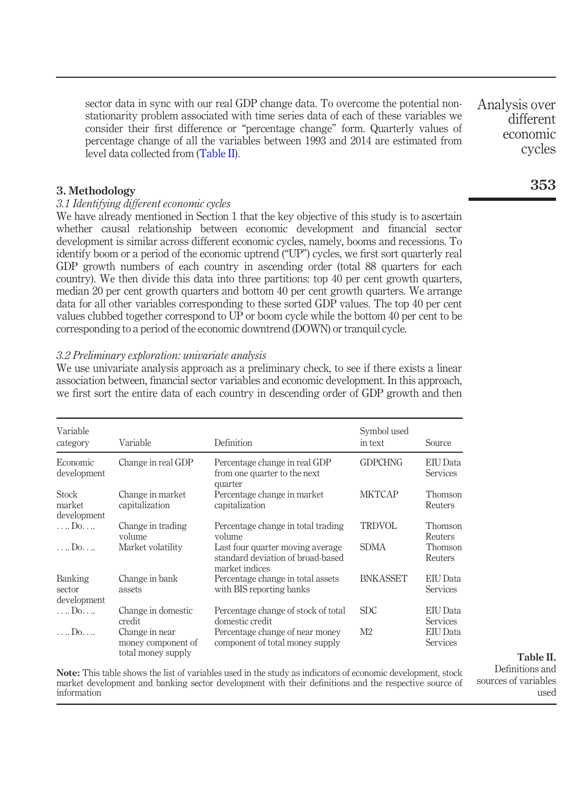sector data in sync with our real GDP change data. To overcome the potential nonstationarity problem associated with time series data of each of these variables we consider their first difference or "percentage change" form. Quarterly values of percentage change of all the variables between 1993 and 2014 are estimated from level data collected from (Table II).

#### 3. Methodology

#### *3.1 Identifying di*ff*erent economic cycles*

We have already mentioned in Section 1 that the key objective of this study is to ascertain whether causal relationship between economic development and financial sector development is similar across different economic cycles, namely, booms and recessions. To identify boom or a period of the economic uptrend ("UP") cycles, we first sort quarterly real GDP growth numbers of each country in ascending order (total 88 quarters for each country). We then divide this data into three partitions: top 40 per cent growth quarters, median 20 per cent growth quarters and bottom 40 per cent growth quarters. We arrange data for all other variables corresponding to these sorted GDP values. The top 40 per cent values clubbed together correspond to UP or boom cycle while the bottom 40 per cent to be corresponding to a period of the economic downtrend (DOWN) or tranquil cycle.

#### *3.2 Preliminary exploration: univariate analysis*

We use univariate analysis approach as a preliminary check, to see if there exists a linear association between, financial sector variables and economic development. In this approach, we first sort the entire data of each country in descending order of GDP growth and then

| Variable<br>category                  | Variable                                                   | Definition                                                                              | Symbol used<br>in text | Source                      |
|---------------------------------------|------------------------------------------------------------|-----------------------------------------------------------------------------------------|------------------------|-----------------------------|
| Economic<br>development               | Change in real GDP                                         | Percentage change in real GDP<br>from one quarter to the next<br>quarter                | <b>GDPCHNG</b>         | EIU Data<br>Services        |
| <b>Stock</b><br>market<br>development | Change in market<br>capitalization                         | Percentage change in market<br>capitalization                                           | <b>MKTCAP</b>          | Thomson<br>Reuters          |
| $\ldots$ Do. $\ldots$                 | Change in trading<br>volume                                | Percentage change in total trading<br>volume                                            | <b>TRDVOL</b>          | <b>Thomson</b><br>Reuters   |
| $\ldots$ Do                           | Market volatility                                          | Last four quarter moving average<br>standard deviation of broad-based<br>market indices | <b>SDMA</b>            | Thomson<br>Reuters          |
| Banking<br>sector<br>development      | Change in bank<br>assets                                   | Percentage change in total assets<br>with BIS reporting banks                           | <b>BNKASSET</b>        | <b>EIU</b> Data<br>Services |
| Do                                    | Change in domestic<br>credit                               | Percentage change of stock of total<br>domestic credit                                  | <b>SDC</b>             | EIU Data<br>Services        |
| $\ldots$ Do                           | Change in near<br>money component of<br>total money supply | Percentage change of near money<br>component of total money supply                      | M <sub>2</sub>         | EIU Data<br>Services        |

Note: This table shows the list of variables used in the study as indicators of economic development, stock market development and banking sector development with their definitions and the respective source of information

Analysis over different economic cycles

# 353

Table II.

Definitions and sources of variables used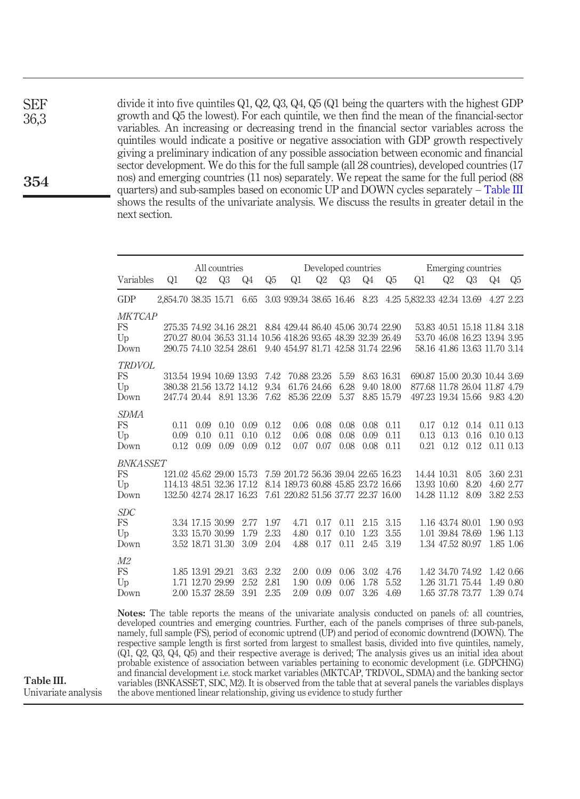divide it into five quintiles Q1, Q2, Q3, Q4, Q5 (Q1 being the quarters with the highest GDP growth and Q5 the lowest). For each quintile, we then find the mean of the financial-sector variables. An increasing or decreasing trend in the financial sector variables across the quintiles would indicate a positive or negative association with GDP growth respectively giving a preliminary indication of any possible association between economic and financial sector development. We do this for the full sample (all 28 countries), developed countries (17 nos) and emerging countries (11 nos) separately. We repeat the same for the full period (88 quarters) and sub-samples based on economic UP and DOWN cycles separately – Table III shows the results of the univariate analysis. We discuss the results in greater detail in the next section.

|                                                   |                                                                                  |                                                          | All countries        |                      |                      |                                                                                                                                                                                               | Developed countries        |                      |                      |                                        |                                                                                                | Emerging countries                                                                           |                      |    |                                                 |
|---------------------------------------------------|----------------------------------------------------------------------------------|----------------------------------------------------------|----------------------|----------------------|----------------------|-----------------------------------------------------------------------------------------------------------------------------------------------------------------------------------------------|----------------------------|----------------------|----------------------|----------------------------------------|------------------------------------------------------------------------------------------------|----------------------------------------------------------------------------------------------|----------------------|----|-------------------------------------------------|
| Variables                                         | Q1                                                                               | Q2                                                       | Q3                   | Q4                   | Q <sub>5</sub>       | Q1                                                                                                                                                                                            | Q2                         | Q3                   | Q <sub>4</sub>       | Q <sub>5</sub>                         | Q1                                                                                             | Q2                                                                                           | Q3                   | Q4 | Q5                                              |
| GDP                                               |                                                                                  |                                                          |                      |                      |                      |                                                                                                                                                                                               |                            |                      |                      |                                        | 2,854.70 38.35 15.71 6.65 3.03 939.34 38.65 16.46 8.23 4.25 5.832.33 42.34 13.69               |                                                                                              |                      |    | 4.27 2.23                                       |
| <b>MKTCAP</b><br><b>FS</b><br>$U_{\rm D}$<br>Down |                                                                                  |                                                          |                      |                      |                      | 275.35 74.92 34.16 28.21 8.84 429.44 86.40 45.06 30.74 22.90<br>270.27 80.04 36.53 31.14 10.56 418.26 93.65 48.39 32.39 26.49<br>290.75 74.10 32.54 28.61 9.40 454.97 81.71 42.58 31.74 22.96 |                            |                      |                      |                                        |                                                                                                | 53.83 40.51 15.18 11.84 3.18<br>53.70 46.08 16.23 13.94 3.95<br>58.16 41.86 13.63 11.70 3.14 |                      |    |                                                 |
| TRDVOL<br>FS<br>$U_{\rm D}$<br>Down               | 380.38 21.56 13.72 14.12<br>247.74 20.44 8.91 13.36                              |                                                          |                      |                      | 9.34<br>7.62         | 313.54 19.94 10.69 13.93 7.42 70.88 23.26                                                                                                                                                     | 61.76 24.66<br>85.36 22.09 | 5.59<br>6.28<br>5.37 |                      | 8.63 16.31<br>9.40 18.00<br>8.85 15.79 | 690.87 15.00 20.30 10.44 3.69<br>877.68 11.78 26.04 11.87 4.79<br>497.23 19.34 15.66 9.83 4.20 |                                                                                              |                      |    |                                                 |
| <i>SDMA</i><br><b>FS</b><br>Up<br>Down            | 0.11<br>0.09<br>0.12                                                             | 0.09<br>0.10<br>0.09                                     | 0.10<br>0.11<br>0.09 | 0.09<br>0.10<br>0.09 | 0.12<br>0.12<br>0.12 | 0.06<br>0.06<br>0.07                                                                                                                                                                          | 0.08<br>0.08<br>0.07       | 0.08<br>0.08<br>0.08 | 0.08<br>0.09<br>0.08 | 0.11<br>0.11<br>0.11                   | 0.17<br>0.13<br>0.21                                                                           | 0.12<br>0.13<br>0.12                                                                         | 0.14<br>0.16<br>0.12 |    | $0.11$ $0.13$<br>$0.10$ $0.13$<br>$0.11$ $0.13$ |
| <b>BNKASSET</b><br>FS<br>$U_{\rm D}$<br>Down      | 121.02 45.62 29.00 15.73<br>114.13 48.51 32.36 17.12<br>132.50 42.74 28.17 16.23 |                                                          |                      |                      |                      | 7.59 201.72 56.36 39.04 22.65 16.23<br>8.14 189.73 60.88 45.85 23.72 16.66<br>7.61 220.82 51.56 37.77 22.37 16.00                                                                             |                            |                      |                      |                                        |                                                                                                | 14.44 10.31<br>13.93 10.60<br>14.28 11.12                                                    | 8.05<br>8.20<br>8.09 |    | 3.60 2.31<br>4.60 2.77<br>3.82 2.53             |
| <i>SDC</i><br><b>FS</b><br>$U_{\rm D}$<br>Down    |                                                                                  | 3.34 17.15 30.99<br>3.33 15.70 30.99<br>3.52 18.71 31.30 |                      | 2.77<br>1.79<br>3.09 | 1.97<br>2.33<br>2.04 | 4.71<br>4.80<br>4.88                                                                                                                                                                          | 0.17<br>0.17<br>0.17       | 0.11<br>0.10<br>0.11 | 2.15<br>1.23<br>2.45 | 3.15<br>3.55<br>3.19                   |                                                                                                | 1.16 43.74 80.01<br>1.01 39.84 78.69<br>1.34 47.52 80.97                                     |                      |    | 1.90 0.93<br>1.96 1.13<br>1.85 1.06             |
| M2<br><b>FS</b><br>U <sub>p</sub><br>Down         |                                                                                  | 1.85 13.91 29.21<br>1.71 12.70 29.99<br>2.00 15.37 28.59 |                      | 3.63<br>2.52<br>3.91 | 2.32<br>2.81<br>2.35 | 2.00<br>1.90<br>2.09                                                                                                                                                                          | 0.09<br>0.09<br>0.09       | 0.06<br>0.06<br>0.07 | 3.02<br>1.78<br>3.26 | 4.76<br>5.52<br>4.69                   |                                                                                                | 1.42 34.70 74.92<br>1.26 31.71 75.44<br>1.65 37.78 73.77                                     |                      |    | 1.42 0.66<br>1.49 0.80<br>1.39 0.74             |

Notes: The table reports the means of the univariate analysis conducted on panels of: all countries, developed countries and emerging countries. Further, each of the panels comprises of three sub-panels, namely, full sample (FS), period of economic uptrend (UP) and period of economic downtrend (DOWN). The respective sample length is first sorted from largest to smallest basis, divided into five quintiles, namely, (Q1, Q2, Q3, Q4, Q5) and their respective average is derived; The analysis gives us an initial idea about probable existence of association between variables pertaining to economic development (i.e. GDPCHNG) and financial development i.e. stock market variables (MKTCAP, TRDVOL, SDMA) and the banking sector variables (BNKASSET, SDC, M2). It is observed from the table that at several panels the variables displays the above mentioned linear relationship, giving us evidence to study further

# 354

Univariate analysis

Table III.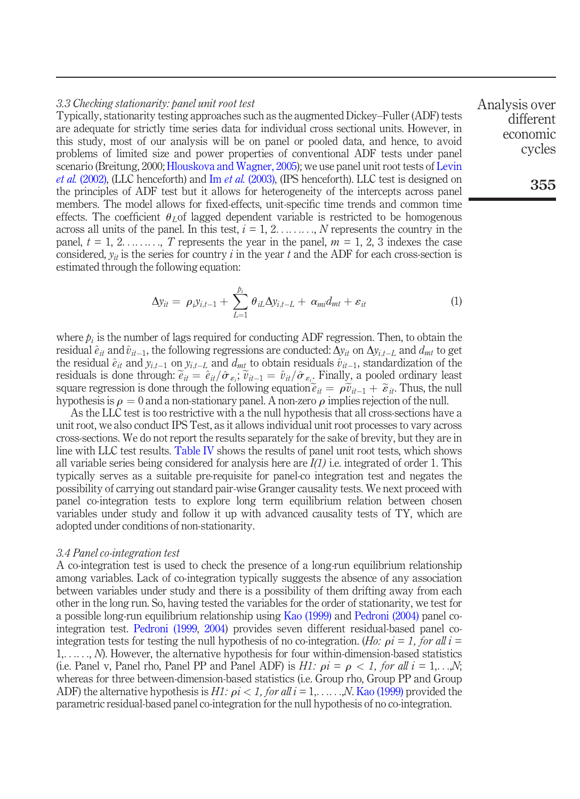#### *3.3 Checking stationarity: panel unit root test*

Typically, stationarity testing approaches such as the augmented Dickey–Fuller (ADF) tests are adequate for strictly time series data for individual cross sectional units. However, in this study, most of our analysis will be on panel or pooled data, and hence, to avoid problems of limited size and power properties of conventional ADF tests under panel scenario (Breitung, 2000; Hlouskova and Wagner, 2005); we use panel unit root tests of Levin *et al.* (2002), (LLC henceforth) and Im *et al.* (2003), (IPS henceforth). LLC test is designed on the principles of ADF test but it allows for heterogeneity of the intercepts across panel members. The model allows for fixed-effects, unit-specific time trends and common time effects. The coefficient  $\theta_L$  of lagged dependent variable is restricted to be homogenous across all units of the panel. In this test,  $i = 1, 2, \ldots, N$  represents the country in the panel,  $t = 1, 2, \ldots, T$  represents the year in the panel,  $m = 1, 2, 3$  indexes the case considered,  $y_{it}$  is the series for country *i* in the year *t* and the ADF for each cross-section is estimated through the following equation:

$$
\Delta y_{it} = \rho_i y_{i,t-1} + \sum_{L=1}^{p_i} \theta_{iL} \Delta y_{i,t-L} + \alpha_{mi} d_{mt} + \varepsilon_{it}
$$
 (1)

where  $p_i$  is the number of lags required for conducting ADF regression. Then, to obtain the residual  $\hat{e}_{it}$  and  $\hat{v}_{it-1}$ , the following regressions are conducted:  $\Delta y_{it}$  on  $\Delta y_{i,t-L}$  and  $d_{mt}$  to get the residual  $\hat{e}_{it}$  and  $\hat{y}_{i,t-1}$  on  $y_{i,t-L}$  and  $d_{mt}$  to obtain residuals  $\hat{v}_{it-1}$ , standardization of the residuals is done through:  $\tilde{e}_{it} = \tilde{e}_{it}/\hat{\sigma}_{\varepsilon_{i}}$ ,  $\tilde{v}_{it-1} = \hat{v}_{it}/\hat{\sigma}_{\varepsilon_{i}}$ . Finally, a pooled ordinary least square regression is done through the following equation  $\tilde{e}_{it} = \rho \tilde{v}_{it-1} + \tilde{\varepsilon}_{it}$ . Thus, the null hypothesis is  $\rho = 0$  and a non-stationary panel. A non-zero  $\rho$  implies rejection of the null.

As the LLC test is too restrictive with a the null hypothesis that all cross-sections have a unit root, we also conduct IPS Test, as it allows individual unit root processes to vary across cross-sections. We do not report the results separately for the sake of brevity, but they are in line with LLC test results. Table IV shows the results of panel unit root tests, which shows all variable series being considered for analysis here are *I(1)* i.e. integrated of order 1. This typically serves as a suitable pre-requisite for panel-co integration test and negates the possibility of carrying out standard pair-wise Granger causality tests. We next proceed with panel co-integration tests to explore long term equilibrium relation between chosen variables under study and follow it up with advanced causality tests of TY, which are adopted under conditions of non-stationarity.

#### *3.4 Panel co-integration test*

A co-integration test is used to check the presence of a long-run equilibrium relationship among variables. Lack of co-integration typically suggests the absence of any association between variables under study and there is a possibility of them drifting away from each other in the long run. So, having tested the variables for the order of stationarity, we test for a possible long-run equilibrium relationship using Kao (1999) and Pedroni (2004) panel cointegration test. Pedroni (1999, 2004) provides seven different residual-based panel cointegration tests for testing the null hypothesis of no co-integration. (*Ho:*  $\rho i = 1$ , for all  $i =$ 1,. . .. . ., *N*). However, the alternative hypothesis for four within-dimension-based statistics (i.e. Panel v, Panel rho, Panel PP and Panel ADF) is *H1:*  $\rho i = \rho < 1$ , for all  $i = 1, \ldots, N$ ; whereas for three between-dimension-based statistics (i.e. Group rho, Group PP and Group ADF) the alternative hypothesis is  $H1$ :  $\rho i < 1$ , for all  $i = 1, \ldots, N$ . Kao (1999) provided the parametric residual-based panel co-integration for the null hypothesis of no co-integration.

Analysis over different economic cycles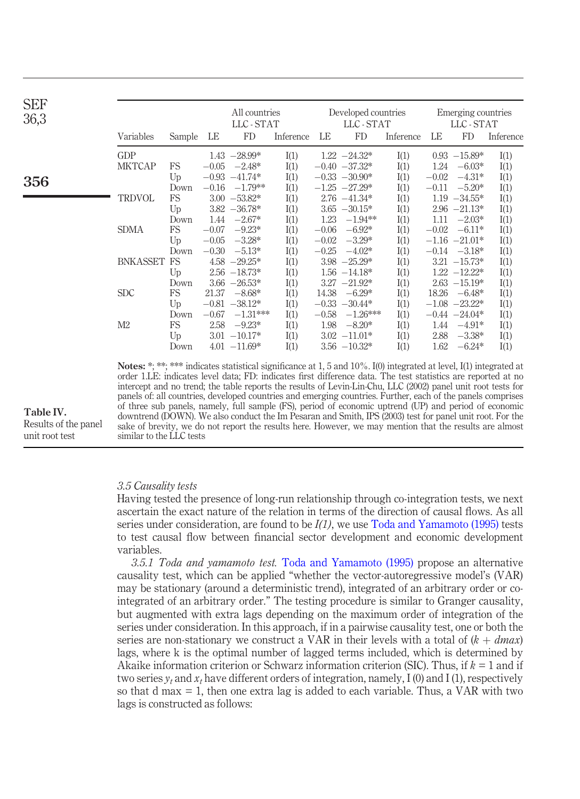| <b>SEF</b><br>36,3 |                 |             |         | All countries<br>LLC-STAT |           |         | Developed countries<br>LLC - STAT |           |         | Emerging countries<br>LLC - STAT |           |
|--------------------|-----------------|-------------|---------|---------------------------|-----------|---------|-----------------------------------|-----------|---------|----------------------------------|-----------|
|                    | Variables       | Sample      | LE      | FD                        | Inference | LE      | <b>FD</b>                         | Inference | LE      | <b>FD</b>                        | Inference |
|                    | <b>GDP</b>      |             |         | $1.43 - 28.99*$           | I(1)      |         | $1.22 -24.32*$                    | I(1)      |         | $0.93 - 15.89*$                  | I(1)      |
|                    | <b>MKTCAP</b>   | <b>FS</b>   |         | $-0.05 -2.48*$            | I(1)      |         | $-0.40 -37.32*$                   | I(1)      | 1.24    | $-6.03*$                         | I(1)      |
| 356                |                 | $U_{\rm D}$ |         | $-0.93 -41.74*$           | I(1)      |         | $-0.33 -30.90*$                   | I(1)      | $-0.02$ | $-4.31*$                         | I(1)      |
|                    |                 | Down        |         | $-0.16$ $-1.79**$         | I(1)      |         | $-1.25 -27.29*$                   | I(1)      | $-0.11$ | $-5.20*$                         | I(1)      |
|                    | <b>TRDVOL</b>   | <b>FS</b>   |         | $3.00 -53.82*$            | I(1)      |         | $2.76 -41.34*$                    | I(1)      |         | $1.19 -34.55*$                   | I(1)      |
|                    |                 | Up          |         | $3.82 - 36.78*$           | I(1)      |         | $3.65 - 30.15*$                   | I(1)      |         | $2.96 -21.13*$                   | I(1)      |
|                    |                 | Down        | 1.44    | $-2.67*$                  | I(1)      | 1.23    | $-1.94**$                         | I(1)      | 1.11    | $-2.03*$                         | I(1)      |
|                    | <b>SDMA</b>     | <b>FS</b>   | $-0.07$ | $-9.23*$                  | I(1)      | $-0.06$ | $-6.92*$                          | I(1)      | $-0.02$ | $-6.11*$                         | I(1)      |
|                    |                 | Up          | $-0.05$ | $-3.28*$                  | I(1)      | $-0.02$ | $-3.29*$                          | I(1)      |         | $-1.16 -21.01*$                  | I(1)      |
|                    |                 | Down        | $-0.30$ | $-5.13*$                  | I(1)      | $-0.25$ | $-4.02*$                          | I(1)      |         | $-0.14$ $-3.18*$                 | I(1)      |
|                    | <b>BNKASSET</b> | FS          |         | $4.58 - 29.25*$           | I(1)      |         | $3.98 - 25.29*$                   | I(1)      |         | $3.21 - 15.73*$                  | I(1)      |
|                    |                 | Up          |         | $2.56 - 18.73*$           | I(1)      |         | $1.56 - 14.18*$                   | I(1)      |         | $1.22 - 12.22*$                  | I(1)      |
|                    |                 | Down        |         | $3.66 - 26.53*$           | I(1)      |         | $3.27 -21.92*$                    | I(1)      |         | $2.63 - 15.19*$                  | I(1)      |
|                    | <b>SDC</b>      | <b>FS</b>   | 21.37   | $-8.68*$                  | I(1)      | 14.38   | $-6.29*$                          | I(1)      | 18.26   | $-6.48*$                         | I(1)      |
|                    |                 | $U_{\rm D}$ |         | $-0.81 - 38.12*$          | I(1)      |         | $-0.33 -30.44*$                   | I(1)      |         | $-1.08$ $-23.22*$                | I(1)      |
|                    |                 | Down        | $-0.67$ | $-1.31***$                | I(1)      | $-0.58$ | $-1.26***$                        | I(1)      |         | $-0.44 -24.04*$                  | I(1)      |
|                    | M <sub>2</sub>  | <b>FS</b>   | 2.58    | $-9.23*$                  | I(1)      | 1.98    | $-8.20*$                          | I(1)      | 1.44    | $-4.91*$                         | I(1)      |
|                    |                 | Up          |         | $3.01 - 10.17*$           | I(1)      |         | $3.02 -11.01*$                    | I(1)      | 2.88    | $-3.38*$                         | I(1)      |
|                    |                 | Down        |         | $4.01 -11.69*$            | I(1)      |         | $3.56 - 10.32*$                   | I(1)      | 1.62    | $-6.24*$                         | I(1)      |

Notes: \*; \*\*\*; \*\*\*\* indicates statistical significance at 1, 5 and 10%. I(0) integrated at level, I(1) integrated at order 1.LE: indicates level data; FD: indicates first difference data. The test statistics are reported at no intercept and no trend; the table reports the results of Levin-Lin-Chu, LLC (2002) panel unit root tests for panels of: all countries, developed countries and emerging countries. Further, each of the panels comprises of three sub panels, namely, full sample (FS), period of economic uptrend (UP) and period of economic downtrend (DOWN). We also conduct the Im Pesaran and Smith, IPS (2003) test for panel unit root. For the sake of brevity, we do not report the results here. However, we may mention that the results are almost similar to the LLC tests

*3.5 Causality tests*

Having tested the presence of long-run relationship through co-integration tests, we next ascertain the exact nature of the relation in terms of the direction of causal flows. As all series under consideration, are found to be *I(1)*, we use Toda and Yamamoto (1995) tests to test causal flow between financial sector development and economic development variables.

*3.5.1 Toda and yamamoto test.* Toda and Yamamoto (1995) propose an alternative causality test, which can be applied "whether the vector-autoregressive model's (VAR) may be stationary (around a deterministic trend), integrated of an arbitrary order or cointegrated of an arbitrary order." The testing procedure is similar to Granger causality, but augmented with extra lags depending on the maximum order of integration of the series under consideration. In this approach, if in a pairwise causality test, one or both the series are non-stationary we construct a VAR in their levels with a total of  $(k + dmax)$ lags, where k is the optimal number of lagged terms included, which is determined by Akaike information criterion or Schwarz information criterion (SIC). Thus, if *k =* 1 and if two series  $y_t$  and  $x_t$  have different orders of integration, namely, I (0) and I (1), respectively so that d max  $= 1$ , then one extra lag is added to each variable. Thus, a VAR with two lags is constructed as follows:

Table IV. Results of the panel unit root test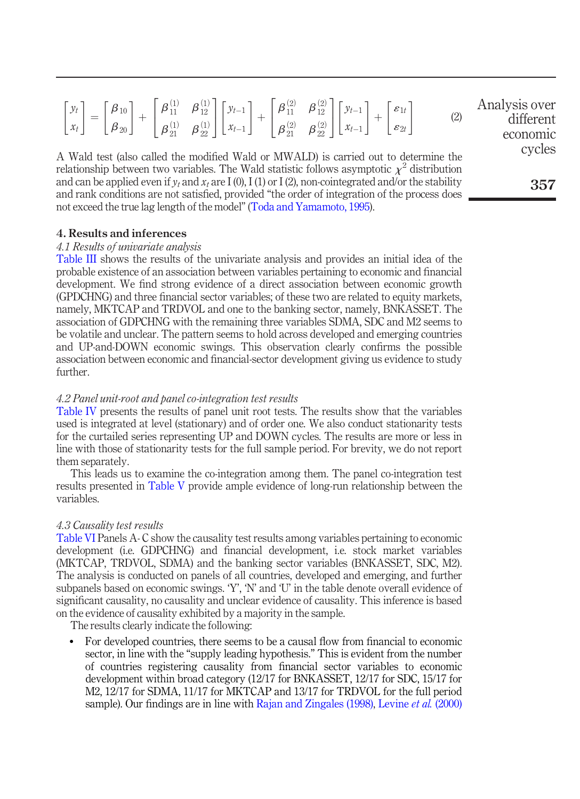|  | $\begin{bmatrix} y_t \\ x_t \end{bmatrix} = \begin{bmatrix} \beta_{10} \\ \beta_{20} \end{bmatrix} + \begin{bmatrix} \beta_{11}^{(1)} & \beta_{12}^{(1)} \\ \beta_{21}^{(1)} & \beta_{22}^{(1)} \end{bmatrix} \begin{bmatrix} y_{t-1} \\ x_{t-1} \end{bmatrix} + \begin{bmatrix} \beta_{11}^{(2)} & \beta_{12}^{(2)} \\ \beta_{21}^{(2)} & \beta_{22}^{(2)} \end{bmatrix} \begin{bmatrix} y_{t-1} \\ x_{t-1} \end{bmatrix} + \begin{bmatrix} \varepsilon_{1t}$ | Analysis over<br>different<br>economic |
|--|----------------------------------------------------------------------------------------------------------------------------------------------------------------------------------------------------------------------------------------------------------------------------------------------------------------------------------------------------------------------------------------------------------------------------------------------------------------|----------------------------------------|
|  |                                                                                                                                                                                                                                                                                                                                                                                                                                                                | cycles                                 |

A Wald test (also called the modified Wald or MWALD) is carried out to determine the relationship between two variables. The Wald statistic follows asymptotic  $\chi^2$  distribution and can be applied even if  $y_t$  and  $x_t$  are I (0), I (1) or I (2), non-cointegrated and/or the stability and rank conditions are not satisfied, provided "the order of integration of the process does not exceed the true lag length of the model" (Toda and Yamamoto, 1995).

#### 4. Results and inferences

#### *4.1 Results of univariate analysis*

Table III shows the results of the univariate analysis and provides an initial idea of the probable existence of an association between variables pertaining to economic and financial development. We find strong evidence of a direct association between economic growth (GPDCHNG) and three financial sector variables; of these two are related to equity markets, namely, MKTCAP and TRDVOL and one to the banking sector, namely, BNKASSET. The association of GDPCHNG with the remaining three variables SDMA, SDC and M2 seems to be volatile and unclear. The pattern seems to hold across developed and emerging countries and UP-and-DOWN economic swings. This observation clearly confirms the possible association between economic and financial-sector development giving us evidence to study further.

#### *4.2 Panel unit-root and panel co-integration test results*

Table IV presents the results of panel unit root tests. The results show that the variables used is integrated at level (stationary) and of order one. We also conduct stationarity tests for the curtailed series representing UP and DOWN cycles. The results are more or less in line with those of stationarity tests for the full sample period. For brevity, we do not report them separately.

This leads us to examine the co-integration among them. The panel co-integration test results presented in Table V provide ample evidence of long-run relationship between the variables.

#### *4.3 Causality test results*

Table VI Panels A- C show the causality test results among variables pertaining to economic development (i.e. GDPCHNG) and financial development, i.e. stock market variables (MKTCAP, TRDVOL, SDMA) and the banking sector variables (BNKASSET, SDC, M2). The analysis is conducted on panels of all countries, developed and emerging, and further subpanels based on economic swings. 'Y', 'N' and 'U' in the table denote overall evidence of significant causality, no causality and unclear evidence of causality. This inference is based on the evidence of causality exhibited by a majority in the sample.

The results clearly indicate the following:

 For developed countries, there seems to be a causal flow from financial to economic sector, in line with the "supply leading hypothesis." This is evident from the number of countries registering causality from financial sector variables to economic development within broad category (12/17 for BNKASSET, 12/17 for SDC, 15/17 for M2, 12/17 for SDMA, 11/17 for MKTCAP and 13/17 for TRDVOL for the full period sample). Our findings are in line with Rajan and Zingales (1998), Levine *et al.* (2000)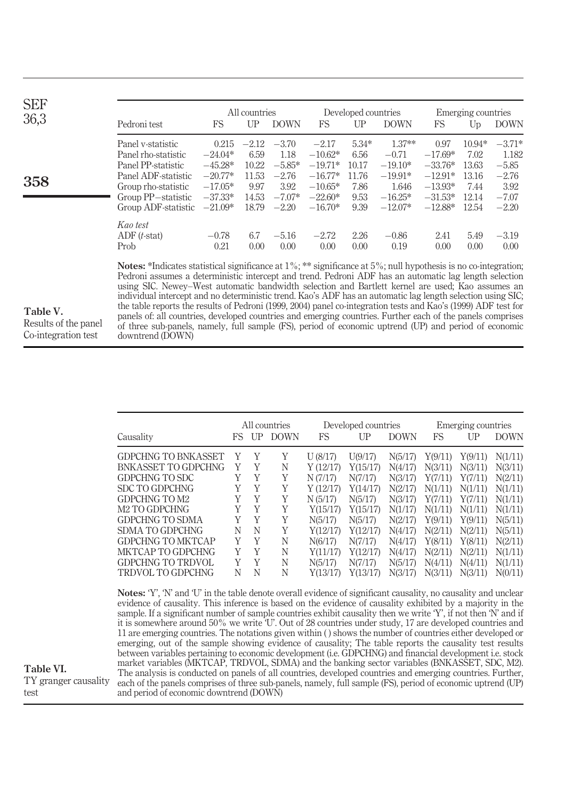| <b>SEF</b><br>36,3 | Pedroni test                                                                                                                                              | FS                                                                                  | All countries<br>UP                                         | <b>DOWN</b>                                                           | FS.                                                                                   | Developed countries<br>UP                                 | <b>DOWN</b>                                                                      | FS                                                                                 | Emerging countries<br>Up                                     | <b>DOWN</b>                                                           |
|--------------------|-----------------------------------------------------------------------------------------------------------------------------------------------------------|-------------------------------------------------------------------------------------|-------------------------------------------------------------|-----------------------------------------------------------------------|---------------------------------------------------------------------------------------|-----------------------------------------------------------|----------------------------------------------------------------------------------|------------------------------------------------------------------------------------|--------------------------------------------------------------|-----------------------------------------------------------------------|
| 358                | Panel v-statistic<br>Panel rho-statistic<br>Panel PP-statistic<br>Panel ADF-statistic<br>Group rho-statistic<br>Group PP-statistic<br>Group ADF-statistic | 0.215<br>$-24.04*$<br>$-45.28*$<br>$-20.77*$<br>$-17.05*$<br>$-37.33*$<br>$-21.09*$ | $-2.12$<br>6.59<br>10.22<br>11.53<br>9.97<br>14.53<br>18.79 | $-3.70$<br>1.18<br>$-5.85*$<br>$-2.76$<br>3.92<br>$-7.07*$<br>$-2.20$ | $-2.17$<br>$-10.62*$<br>$-19.71*$<br>$-16.77*$<br>$-10.65*$<br>$-22.60*$<br>$-16.70*$ | $5.34*$<br>6.56<br>10.17<br>11.76<br>7.86<br>9.53<br>9.39 | $1.37**$<br>$-0.71$<br>$-19.10*$<br>$-19.91*$<br>1.646<br>$-16.25*$<br>$-12.07*$ | 0.97<br>$-17.69*$<br>$-33.76*$<br>$-12.91*$<br>$-13.93*$<br>$-31.53*$<br>$-12.88*$ | $10.94*$<br>7.02<br>13.63<br>13.16<br>7.44<br>12.14<br>12.54 | $-3.71*$<br>1.182<br>$-5.85$<br>$-2.76$<br>3.92<br>$-7.07$<br>$-2.20$ |
|                    | Kao test<br>$ADF(t-stat)$<br>Prob                                                                                                                         | $-0.78$<br>0.21                                                                     | 6.7<br>0.00                                                 | $-5.16$<br>0.00                                                       | $-2.72$<br>0.00                                                                       | 2.26<br>0.00                                              | $-0.86$<br>0.19                                                                  | 2.41<br>0.00                                                                       | 5.49<br>0.00                                                 | $-3.19$<br>0.00                                                       |

Table V. Results of the panel Co-integration test

Table VI.

test

TY granger causality

Notes: \*Indicates statistical significance at  $1\%$ ; \*\* significance at  $5\%$ ; null hypothesis is no co-integration; Pedroni assumes a deterministic intercept and trend. Pedroni ADF has an automatic lag length selection using SIC. Newey–West automatic bandwidth selection and Bartlett kernel are used; Kao assumes an individual intercept and no deterministic trend. Kao's ADF has an automatic lag length selection using SIC; the table reports the results of Pedroni (1999, 2004) panel co-integration tests and Kao's (1999) ADF test for panels of: all countries, developed countries and emerging countries. Further each of the panels comprises of three sub-panels, namely, full sample (FS), period of economic uptrend (UP) and period of economic downtrend (DOWN)

|                                                                                                                                                                                                                                  | All countries |    |             |          | Developed countries |             | Emerging countries |         |             |  |
|----------------------------------------------------------------------------------------------------------------------------------------------------------------------------------------------------------------------------------|---------------|----|-------------|----------|---------------------|-------------|--------------------|---------|-------------|--|
| Causality                                                                                                                                                                                                                        | FS.           | UP | <b>DOWN</b> | FS       | $_{\rm UP}$         | <b>DOWN</b> | FS                 | UP      | <b>DOWN</b> |  |
| <b>GDPCHNG TO BNKASSET</b>                                                                                                                                                                                                       | Y             | Y  | Y           | U(8/17)  | U(9/17)             | N(5/17)     | Y(9/11)            | Y(9/11) | N(1/11)     |  |
| BNK ASSET TO GDPCHNG                                                                                                                                                                                                             | Y             | Y  | N           | Y(12/17) | Y(15/17)            | N(4/17)     | N(3/11)            | N(3/11) | N(3/11)     |  |
| GDPCHNG TO SDC                                                                                                                                                                                                                   | Y             | Y  | Y           | N(7/17)  | N(7/17)             | N(3/17)     | Y(7/11)            | Y(7/11) | N(2/11)     |  |
| <b>SDC TO GDPCHNG</b>                                                                                                                                                                                                            | Y             | Y  | Y           | Y(12/17) | Y(14/17)            | N(2/17)     | N(1/11)            | N(1/11) | N(1/11)     |  |
| GDPCHNG TO M2                                                                                                                                                                                                                    | Y             | Y  | Y           | N(5/17)  | N(5/17)             | N(3/17)     | Y(7/11)            | Y(7/11) | N(1/11)     |  |
| M <sub>2</sub> TO GDPCHNG                                                                                                                                                                                                        | Y             | Y  | Y           | Y(15/17) | Y(15/17)            | N(1/17)     | N(1/11)            | N(1/11) | N(1/11)     |  |
| <b>GDPCHNG TO SDMA</b>                                                                                                                                                                                                           | Y             | Y  | Y           | N(5/17)  | N(5/17)             | N(2/17)     | Y(9/11)            | Y(9/11) | N(5/11)     |  |
| <b>SDMA TO GDPCHNG</b>                                                                                                                                                                                                           | N             | N  | Y           | Y(12/17) | Y(12/17)            | N(4/17)     | N(2/11)            | N(2/11) | N(5/11)     |  |
| <b>GDPCHNG TO MKTCAP</b>                                                                                                                                                                                                         | Y             | Y  | N           | N(6/17)  | N(7/17)             | N(4/17)     | Y(8/11)            | Y(8/11) | N(2/11)     |  |
| MKTCAP TO GDPCHNG                                                                                                                                                                                                                | Y             | Y  | N           | Y(11/17) | Y(12/17)            | N(4/17)     | N(2/11)            | N(2/11) | N(1/11)     |  |
| <b>GDPCHNG TO TRDVOL</b>                                                                                                                                                                                                         | Y             | Y  | N           | N(5/17)  | N(7/17)             | N(5/17)     | N(4/11)            | N(4/11) | N(1/11)     |  |
| TRDVOL TO GDPCHNG                                                                                                                                                                                                                | N             | N  | Ν           | Y(13/17) | Y(13/17)            | N(3/17)     | N(3/11)            | N(3/11) | N(0/11)     |  |
| <b>Notes:</b> 'Y', 'N' and 'U' in the table denote overall evidence of significant causality, no causality and unclear                                                                                                           |               |    |             |          |                     |             |                    |         |             |  |
| evidence of causality. This inference is based on the evidence of causality exhibited by a majority in the<br>sample. If a significant number of sample countries exhibit causality then we write $Y'$ , if not then $N'$ and if |               |    |             |          |                     |             |                    |         |             |  |

sample. If a significant number of sample countries exhibit causality then we write 'Y', if not then 'N' and if it is somewhere around 50% we write 'U'. Out of 28 countries under study, 17 are developed countries and 11 are emerging countries. The notations given within ( ) shows the number of countries either developed or emerging, out of the sample showing evidence of causality; The table reports the causality test results between variables pertaining to economic development (i.e. GDPCHNG) and financial development i.e. stock market variables (MKTCAP, TRDVOL, SDMA) and the banking sector variables (BNKASSET, SDC, M2). The analysis is conducted on panels of all countries, developed countries and emerging countries. Further, each of the panels comprises of three sub-panels, namely, full sample (FS), period of economic uptrend (UP) and period of economic downtrend (DOWN)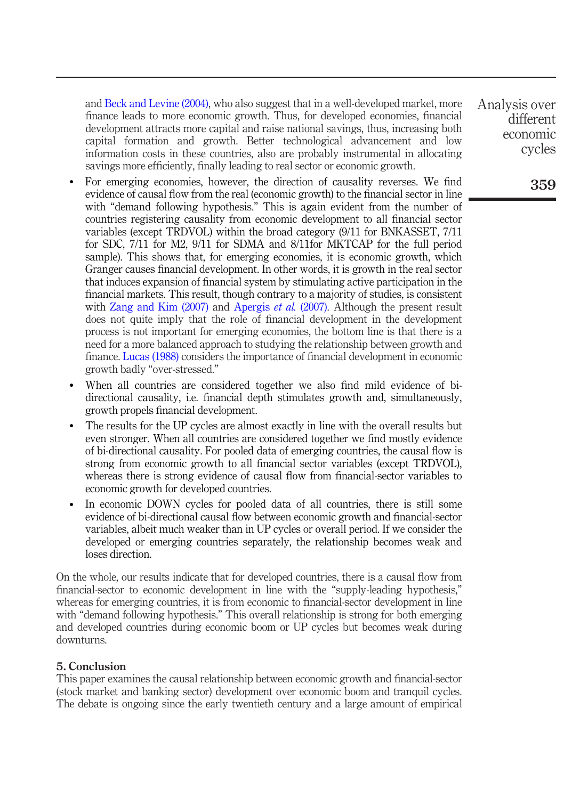and Beck and Levine (2004), who also suggest that in a well-developed market, more finance leads to more economic growth. Thus, for developed economies, financial development attracts more capital and raise national savings, thus, increasing both capital formation and growth. Better technological advancement and low information costs in these countries, also are probably instrumental in allocating savings more efficiently, finally leading to real sector or economic growth.

- For emerging economies, however, the direction of causality reverses. We find evidence of causal flow from the real (economic growth) to the financial sector in line with "demand following hypothesis." This is again evident from the number of countries registering causality from economic development to all financial sector variables (except TRDVOL) within the broad category (9/11 for BNKASSET, 7/11 for SDC, 7/11 for M2, 9/11 for SDMA and 8/11for MKTCAP for the full period sample). This shows that, for emerging economies, it is economic growth, which Granger causes financial development. In other words, it is growth in the real sector that induces expansion of financial system by stimulating active participation in the financial markets. This result, though contrary to a majority of studies, is consistent with Zang and Kim (2007) and Apergis *et al.* (2007). Although the present result does not quite imply that the role of financial development in the development process is not important for emerging economies, the bottom line is that there is a need for a more balanced approach to studying the relationship between growth and finance. Lucas (1988) considers the importance of financial development in economic growth badly "over-stressed."
- When all countries are considered together we also find mild evidence of bidirectional causality, i.e. financial depth stimulates growth and, simultaneously, growth propels financial development.
- The results for the UP cycles are almost exactly in line with the overall results but even stronger. When all countries are considered together we find mostly evidence of bi-directional causality. For pooled data of emerging countries, the causal flow is strong from economic growth to all financial sector variables (except TRDVOL), whereas there is strong evidence of causal flow from financial-sector variables to economic growth for developed countries.
- In economic DOWN cycles for pooled data of all countries, there is still some evidence of bi-directional causal flow between economic growth and financial-sector variables, albeit much weaker than in UP cycles or overall period. If we consider the developed or emerging countries separately, the relationship becomes weak and loses direction.

On the whole, our results indicate that for developed countries, there is a causal flow from financial-sector to economic development in line with the "supply-leading hypothesis," whereas for emerging countries, it is from economic to financial-sector development in line with "demand following hypothesis." This overall relationship is strong for both emerging and developed countries during economic boom or UP cycles but becomes weak during downturns.

#### 5. Conclusion

This paper examines the causal relationship between economic growth and financial-sector (stock market and banking sector) development over economic boom and tranquil cycles. The debate is ongoing since the early twentieth century and a large amount of empirical Analysis over different economic cycles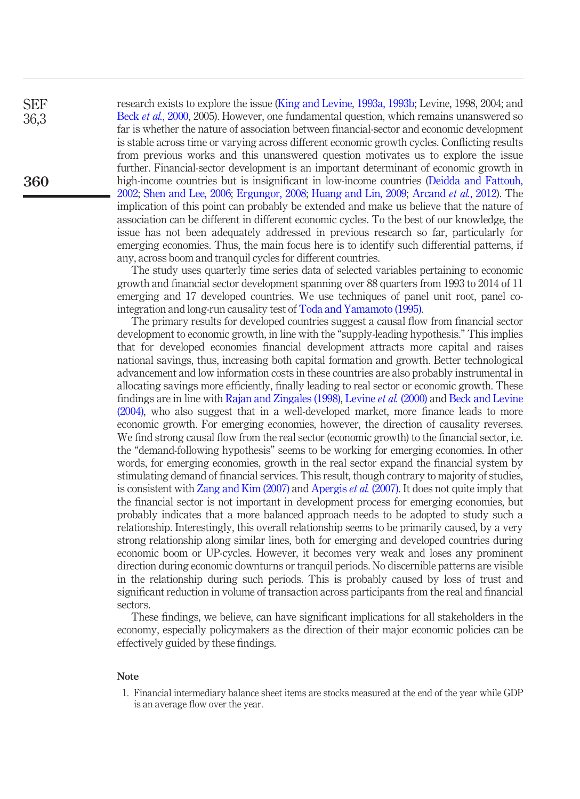research exists to explore the issue (King and Levine, 1993a, 1993b; Levine, 1998, 2004; and Beck *et al.*, 2000, 2005). However, one fundamental question, which remains unanswered so far is whether the nature of association between financial-sector and economic development is stable across time or varying across different economic growth cycles. Conflicting results from previous works and this unanswered question motivates us to explore the issue further. Financial-sector development is an important determinant of economic growth in high-income countries but is insignificant in low-income countries (Deidda and Fattouh, 2002; Shen and Lee, 2006; Ergungor, 2008; Huang and Lin, 2009; Arcand *et al.*, 2012). The implication of this point can probably be extended and make us believe that the nature of association can be different in different economic cycles. To the best of our knowledge, the issue has not been adequately addressed in previous research so far, particularly for emerging economies. Thus, the main focus here is to identify such differential patterns, if any, across boom and tranquil cycles for different countries.

The study uses quarterly time series data of selected variables pertaining to economic growth and financial sector development spanning over 88 quarters from 1993 to 2014 of 11 emerging and 17 developed countries. We use techniques of panel unit root, panel cointegration and long-run causality test of Toda and Yamamoto (1995).

The primary results for developed countries suggest a causal flow from financial sector development to economic growth, in line with the "supply-leading hypothesis." This implies that for developed economies financial development attracts more capital and raises national savings, thus, increasing both capital formation and growth. Better technological advancement and low information costs in these countries are also probably instrumental in allocating savings more efficiently, finally leading to real sector or economic growth. These findings are in line with Rajan and Zingales (1998), Levine *et al.* (2000) and Beck and Levine (2004), who also suggest that in a well-developed market, more finance leads to more economic growth. For emerging economies, however, the direction of causality reverses. We find strong causal flow from the real sector (economic growth) to the financial sector, i.e. the "demand-following hypothesis" seems to be working for emerging economies. In other words, for emerging economies, growth in the real sector expand the financial system by stimulating demand of financial services. This result, though contrary to majority of studies, is consistent with Zang and Kim (2007) and Apergis *et al.* (2007). It does not quite imply that the financial sector is not important in development process for emerging economies, but probably indicates that a more balanced approach needs to be adopted to study such a relationship. Interestingly, this overall relationship seems to be primarily caused, by a very strong relationship along similar lines, both for emerging and developed countries during economic boom or UP-cycles. However, it becomes very weak and loses any prominent direction during economic downturns or tranquil periods. No discernible patterns are visible in the relationship during such periods. This is probably caused by loss of trust and significant reduction in volume of transaction across participants from the real and financial sectors.

These findings, we believe, can have significant implications for all stakeholders in the economy, especially policymakers as the direction of their major economic policies can be effectively guided by these findings.

#### Note

1. Financial intermediary balance sheet items are stocks measured at the end of the year while GDP is an average flow over the year.

SEF 36,3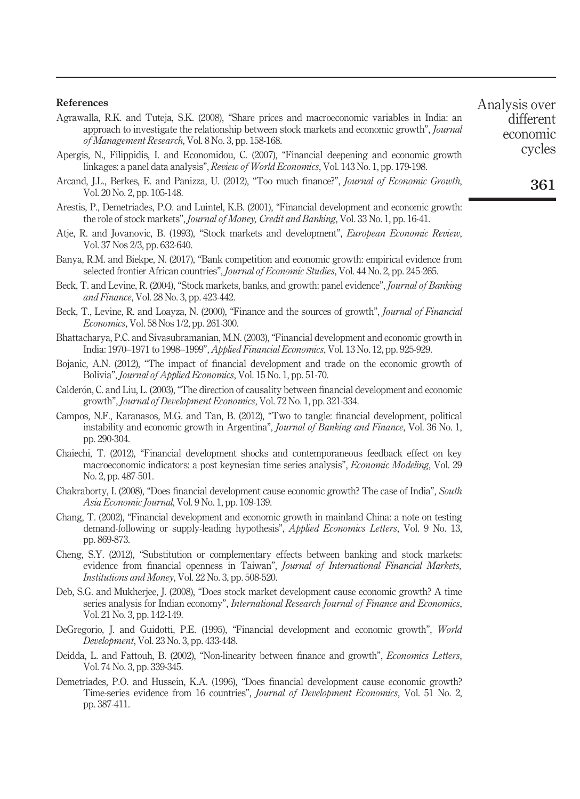#### References

Agrawalla, R.K. and Tuteja, S.K. (2008), "Share prices and macroeconomic variables in India: an approach to investigate the relationship between stock markets and economic growth", *Journal of Management Research*, Vol. 8 No. 3, pp. 158-168.

Apergis, N., Filippidis, I. and Economidou, C. (2007), "Financial deepening and economic growth linkages: a panel data analysis", *Review of World Economics*, Vol. 143 No. 1, pp. 179-198.

- Arcand, J.L., Berkes, E. and Panizza, U. (2012), "Too much finance?", *Journal of Economic Growth*, Vol. 20 No. 2, pp. 105-148.
- Arestis, P., Demetriades, P.O. and Luintel, K.B. (2001), "Financial development and economic growth: the role of stock markets", *Journal of Money, Credit and Banking*, Vol. 33 No. 1, pp. 16-41.
- Atje, R. and Jovanovic, B. (1993), "Stock markets and development", *European Economic Review*, Vol. 37 Nos 2/3, pp. 632-640.
- Banya, R.M. and Biekpe, N. (2017), "Bank competition and economic growth: empirical evidence from selected frontier African countries", *Journal of Economic Studies*, Vol. 44 No. 2, pp. 245-265.
- Beck, T. and Levine, R. (2004), "Stock markets, banks, and growth: panel evidence", *Journal of Banking and Finance*, Vol. 28 No. 3, pp. 423-442.
- Beck, T., Levine, R. and Loayza, N. (2000), "Finance and the sources of growth", *Journal of Financial Economics*, Vol. 58 Nos 1/2, pp. 261-300.
- Bhattacharya, P.C. and Sivasubramanian, M.N. (2003), "Financial development and economic growth in India: 1970–1971 to 1998–1999", *Applied Financial Economics*, Vol. 13 No. 12, pp. 925-929.
- Bojanic, A.N. (2012), "The impact of financial development and trade on the economic growth of Bolivia", *Journal of Applied Economics*, Vol. 15 No. 1, pp. 51-70.
- Calderón, C. and Liu, L. (2003), "The direction of causality between financial development and economic growth", *Journal of Development Economics*, Vol. 72 No. 1, pp. 321-334.
- Campos, N.F., Karanasos, M.G. and Tan, B. (2012), "Two to tangle: financial development, political instability and economic growth in Argentina", *Journal of Banking and Finance*, Vol. 36 No. 1, pp. 290-304.
- Chaiechi, T. (2012), "Financial development shocks and contemporaneous feedback effect on key macroeconomic indicators: a post keynesian time series analysis", *Economic Modeling*, Vol. 29 No. 2, pp. 487-501.
- Chakraborty, I. (2008), "Does financial development cause economic growth? The case of India", *South Asia Economic Journal*, Vol. 9 No. 1, pp. 109-139.
- Chang, T. (2002), "Financial development and economic growth in mainland China: a note on testing demand-following or supply-leading hypothesis", *Applied Economics Letters*, Vol. 9 No. 13, pp. 869-873.
- Cheng, S.Y. (2012), "Substitution or complementary effects between banking and stock markets: evidence from financial openness in Taiwan", *Journal of International Financial Markets, Institutions and Money*, Vol. 22 No. 3, pp. 508-520.
- Deb, S.G. and Mukherjee, J. (2008), "Does stock market development cause economic growth? A time series analysis for Indian economy", *International Research Journal of Finance and Economics*, Vol. 21 No. 3, pp. 142-149.
- DeGregorio, J. and Guidotti, P.E. (1995), "Financial development and economic growth", *World Development*, Vol. 23 No. 3, pp. 433-448.
- Deidda, L. and Fattouh, B. (2002), "Non-linearity between finance and growth", *Economics Letters*, Vol. 74 No. 3, pp. 339-345.
- Demetriades, P.O. and Hussein, K.A. (1996), "Does financial development cause economic growth? Time-series evidence from 16 countries", *Journal of Development Economics*, Vol. 51 No. 2, pp. 387-411.

Analysis over different economic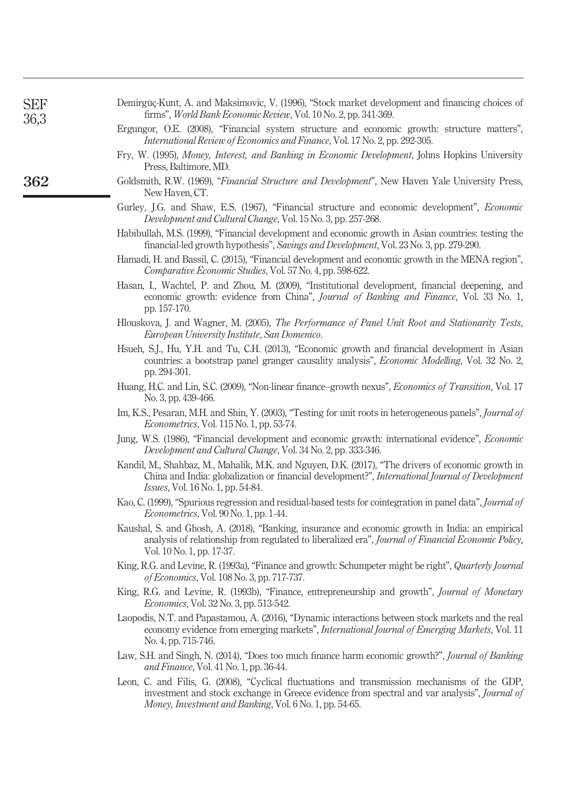| 36,3<br>Ergungor, O.E. (2008), "Financial system structure and economic growth: structure matters",<br>International Review of Economics and Finance, Vol. 17 No. 2, pp. 292-305.<br>Fry, W. (1995), Money, Interest, and Banking in Economic Development, Johns Hopkins University<br>Press, Baltimore, MD.<br>362<br>Goldsmith, R.W. (1969), "Financial Structure and Development", New Haven Yale University Press,<br>New Haven, CT.<br>Gurley, J.G. and Shaw, E.S. (1967), "Financial structure and economic development", <i>Economic</i><br>Development and Cultural Change, Vol. 15 No. 3, pp. 257-268.<br>Habibullah, M.S. (1999), "Financial development and economic growth in Asian countries: testing the<br>financial-led growth hypothesis", Savings and Development, Vol. 23 No. 3, pp. 279-290.<br>Hamadi, H. and Bassil, C. (2015), "Financial development and economic growth in the MENA region",<br>Comparative Economic Studies, Vol. 57 No. 4, pp. 598-622.<br>Hasan, I., Wachtel, P. and Zhou, M. (2009), "Institutional development, financial deepening, and<br>economic growth: evidence from China", Journal of Banking and Finance, Vol. 33 No. 1,<br>pp. 157-170.<br>Hlouskova, J. and Wagner, M. (2005), The Performance of Panel Unit Root and Stationarity Tests,<br>European University Institute, San Domenico.<br>Hsueh, S.J., Hu, Y.H. and Tu, C.H. (2013), "Economic growth and financial development in Asian<br>countries: a bootstrap panel granger causality analysis", <i>Economic Modelling</i> , Vol. 32 No. 2,<br>pp. 294-301.<br>Huang, H.C. and Lin, S.C. (2009), "Non-linear finance-growth nexus", Economics of Transition, Vol. 17<br>No. 3, pp. 439-466.<br>Im, K.S., Pesaran, M.H. and Shin, Y. (2003), "Testing for unit roots in heterogeneous panels", <i>Journal of</i><br><i>Econometrics</i> , Vol. 115 No. 1, pp. 53-74.<br>Jung, W.S. (1986), "Financial development and economic growth: international evidence", <i>Economic</i><br>Development and Cultural Change, Vol. 34 No. 2, pp. 333-346.<br>Kandil, M., Shahbaz, M., Mahalik, M.K. and Nguyen, D.K. (2017), "The drivers of economic growth in<br>China and India: globalization or financial development?", International Journal of Development<br><i>Issues, Vol.</i> 16 No. 1, pp. 54-84.<br>Kao, C. (1999), "Spurious regression and residual-based tests for cointegration in panel data", <i>Journal of</i><br><i>Econometrics</i> , Vol. 90 No. 1, pp. 1-44.<br>Kaushal, S. and Ghosh, A. (2018), "Banking, insurance and economic growth in India: an empirical<br>analysis of relationship from regulated to liberalized era", Journal of Financial Economic Policy,<br>Vol. 10 No. 1, pp. 17-37.<br>King, R.G. and Levine, R. (1993a), "Finance and growth: Schumpeter might be right", Quarterly Journal<br><i>of Economics</i> , Vol. 108 No. 3, pp. 717-737.<br>King, R.G. and Levine, R. (1993b), "Finance, entrepreneurship and growth", <i>Journal of Monetary</i><br><i>Economics</i> , Vol. 32 No. 3, pp. 513-542.<br>Laopodis, N.T. and Papastamou, A. (2016), "Dynamic interactions between stock markets and the real<br>economy evidence from emerging markets", International Journal of Emerging Markets, Vol. 11<br>No. 4, pp. 715-746.<br>Law, S.H. and Singh, N. (2014), "Does too much finance harm economic growth?", Journal of Banking<br>and Finance, Vol. 41 No. 1, pp. 36-44.<br>Leon, C. and Filis, G. (2008), "Cyclical fluctuations and transmission mechanisms of the GDP, | Demirgüç-Kunt, A. and Maksimovic, V. (1996), "Stock market development and financing choices of |
|------------------------------------------------------------------------------------------------------------------------------------------------------------------------------------------------------------------------------------------------------------------------------------------------------------------------------------------------------------------------------------------------------------------------------------------------------------------------------------------------------------------------------------------------------------------------------------------------------------------------------------------------------------------------------------------------------------------------------------------------------------------------------------------------------------------------------------------------------------------------------------------------------------------------------------------------------------------------------------------------------------------------------------------------------------------------------------------------------------------------------------------------------------------------------------------------------------------------------------------------------------------------------------------------------------------------------------------------------------------------------------------------------------------------------------------------------------------------------------------------------------------------------------------------------------------------------------------------------------------------------------------------------------------------------------------------------------------------------------------------------------------------------------------------------------------------------------------------------------------------------------------------------------------------------------------------------------------------------------------------------------------------------------------------------------------------------------------------------------------------------------------------------------------------------------------------------------------------------------------------------------------------------------------------------------------------------------------------------------------------------------------------------------------------------------------------------------------------------------------------------------------------------------------------------------------------------------------------------------------------------------------------------------------------------------------------------------------------------------------------------------------------------------------------------------------------------------------------------------------------------------------------------------------------------------------------------------------------------------------------------------------------------------------------------------------------------------------------------------------------------------------------------------------------------------------------------------------------------------------------------------------------------------------------------------------------------------------------------------------------------------------------------------------------------------------------------------------------------------------------------------------------------------------|-------------------------------------------------------------------------------------------------|
|                                                                                                                                                                                                                                                                                                                                                                                                                                                                                                                                                                                                                                                                                                                                                                                                                                                                                                                                                                                                                                                                                                                                                                                                                                                                                                                                                                                                                                                                                                                                                                                                                                                                                                                                                                                                                                                                                                                                                                                                                                                                                                                                                                                                                                                                                                                                                                                                                                                                                                                                                                                                                                                                                                                                                                                                                                                                                                                                                                                                                                                                                                                                                                                                                                                                                                                                                                                                                                                                                                                                          |                                                                                                 |
|                                                                                                                                                                                                                                                                                                                                                                                                                                                                                                                                                                                                                                                                                                                                                                                                                                                                                                                                                                                                                                                                                                                                                                                                                                                                                                                                                                                                                                                                                                                                                                                                                                                                                                                                                                                                                                                                                                                                                                                                                                                                                                                                                                                                                                                                                                                                                                                                                                                                                                                                                                                                                                                                                                                                                                                                                                                                                                                                                                                                                                                                                                                                                                                                                                                                                                                                                                                                                                                                                                                                          |                                                                                                 |
|                                                                                                                                                                                                                                                                                                                                                                                                                                                                                                                                                                                                                                                                                                                                                                                                                                                                                                                                                                                                                                                                                                                                                                                                                                                                                                                                                                                                                                                                                                                                                                                                                                                                                                                                                                                                                                                                                                                                                                                                                                                                                                                                                                                                                                                                                                                                                                                                                                                                                                                                                                                                                                                                                                                                                                                                                                                                                                                                                                                                                                                                                                                                                                                                                                                                                                                                                                                                                                                                                                                                          |                                                                                                 |
|                                                                                                                                                                                                                                                                                                                                                                                                                                                                                                                                                                                                                                                                                                                                                                                                                                                                                                                                                                                                                                                                                                                                                                                                                                                                                                                                                                                                                                                                                                                                                                                                                                                                                                                                                                                                                                                                                                                                                                                                                                                                                                                                                                                                                                                                                                                                                                                                                                                                                                                                                                                                                                                                                                                                                                                                                                                                                                                                                                                                                                                                                                                                                                                                                                                                                                                                                                                                                                                                                                                                          |                                                                                                 |
|                                                                                                                                                                                                                                                                                                                                                                                                                                                                                                                                                                                                                                                                                                                                                                                                                                                                                                                                                                                                                                                                                                                                                                                                                                                                                                                                                                                                                                                                                                                                                                                                                                                                                                                                                                                                                                                                                                                                                                                                                                                                                                                                                                                                                                                                                                                                                                                                                                                                                                                                                                                                                                                                                                                                                                                                                                                                                                                                                                                                                                                                                                                                                                                                                                                                                                                                                                                                                                                                                                                                          |                                                                                                 |
|                                                                                                                                                                                                                                                                                                                                                                                                                                                                                                                                                                                                                                                                                                                                                                                                                                                                                                                                                                                                                                                                                                                                                                                                                                                                                                                                                                                                                                                                                                                                                                                                                                                                                                                                                                                                                                                                                                                                                                                                                                                                                                                                                                                                                                                                                                                                                                                                                                                                                                                                                                                                                                                                                                                                                                                                                                                                                                                                                                                                                                                                                                                                                                                                                                                                                                                                                                                                                                                                                                                                          |                                                                                                 |
|                                                                                                                                                                                                                                                                                                                                                                                                                                                                                                                                                                                                                                                                                                                                                                                                                                                                                                                                                                                                                                                                                                                                                                                                                                                                                                                                                                                                                                                                                                                                                                                                                                                                                                                                                                                                                                                                                                                                                                                                                                                                                                                                                                                                                                                                                                                                                                                                                                                                                                                                                                                                                                                                                                                                                                                                                                                                                                                                                                                                                                                                                                                                                                                                                                                                                                                                                                                                                                                                                                                                          |                                                                                                 |
|                                                                                                                                                                                                                                                                                                                                                                                                                                                                                                                                                                                                                                                                                                                                                                                                                                                                                                                                                                                                                                                                                                                                                                                                                                                                                                                                                                                                                                                                                                                                                                                                                                                                                                                                                                                                                                                                                                                                                                                                                                                                                                                                                                                                                                                                                                                                                                                                                                                                                                                                                                                                                                                                                                                                                                                                                                                                                                                                                                                                                                                                                                                                                                                                                                                                                                                                                                                                                                                                                                                                          |                                                                                                 |
|                                                                                                                                                                                                                                                                                                                                                                                                                                                                                                                                                                                                                                                                                                                                                                                                                                                                                                                                                                                                                                                                                                                                                                                                                                                                                                                                                                                                                                                                                                                                                                                                                                                                                                                                                                                                                                                                                                                                                                                                                                                                                                                                                                                                                                                                                                                                                                                                                                                                                                                                                                                                                                                                                                                                                                                                                                                                                                                                                                                                                                                                                                                                                                                                                                                                                                                                                                                                                                                                                                                                          |                                                                                                 |
|                                                                                                                                                                                                                                                                                                                                                                                                                                                                                                                                                                                                                                                                                                                                                                                                                                                                                                                                                                                                                                                                                                                                                                                                                                                                                                                                                                                                                                                                                                                                                                                                                                                                                                                                                                                                                                                                                                                                                                                                                                                                                                                                                                                                                                                                                                                                                                                                                                                                                                                                                                                                                                                                                                                                                                                                                                                                                                                                                                                                                                                                                                                                                                                                                                                                                                                                                                                                                                                                                                                                          |                                                                                                 |
|                                                                                                                                                                                                                                                                                                                                                                                                                                                                                                                                                                                                                                                                                                                                                                                                                                                                                                                                                                                                                                                                                                                                                                                                                                                                                                                                                                                                                                                                                                                                                                                                                                                                                                                                                                                                                                                                                                                                                                                                                                                                                                                                                                                                                                                                                                                                                                                                                                                                                                                                                                                                                                                                                                                                                                                                                                                                                                                                                                                                                                                                                                                                                                                                                                                                                                                                                                                                                                                                                                                                          |                                                                                                 |
|                                                                                                                                                                                                                                                                                                                                                                                                                                                                                                                                                                                                                                                                                                                                                                                                                                                                                                                                                                                                                                                                                                                                                                                                                                                                                                                                                                                                                                                                                                                                                                                                                                                                                                                                                                                                                                                                                                                                                                                                                                                                                                                                                                                                                                                                                                                                                                                                                                                                                                                                                                                                                                                                                                                                                                                                                                                                                                                                                                                                                                                                                                                                                                                                                                                                                                                                                                                                                                                                                                                                          |                                                                                                 |
|                                                                                                                                                                                                                                                                                                                                                                                                                                                                                                                                                                                                                                                                                                                                                                                                                                                                                                                                                                                                                                                                                                                                                                                                                                                                                                                                                                                                                                                                                                                                                                                                                                                                                                                                                                                                                                                                                                                                                                                                                                                                                                                                                                                                                                                                                                                                                                                                                                                                                                                                                                                                                                                                                                                                                                                                                                                                                                                                                                                                                                                                                                                                                                                                                                                                                                                                                                                                                                                                                                                                          |                                                                                                 |
|                                                                                                                                                                                                                                                                                                                                                                                                                                                                                                                                                                                                                                                                                                                                                                                                                                                                                                                                                                                                                                                                                                                                                                                                                                                                                                                                                                                                                                                                                                                                                                                                                                                                                                                                                                                                                                                                                                                                                                                                                                                                                                                                                                                                                                                                                                                                                                                                                                                                                                                                                                                                                                                                                                                                                                                                                                                                                                                                                                                                                                                                                                                                                                                                                                                                                                                                                                                                                                                                                                                                          |                                                                                                 |
|                                                                                                                                                                                                                                                                                                                                                                                                                                                                                                                                                                                                                                                                                                                                                                                                                                                                                                                                                                                                                                                                                                                                                                                                                                                                                                                                                                                                                                                                                                                                                                                                                                                                                                                                                                                                                                                                                                                                                                                                                                                                                                                                                                                                                                                                                                                                                                                                                                                                                                                                                                                                                                                                                                                                                                                                                                                                                                                                                                                                                                                                                                                                                                                                                                                                                                                                                                                                                                                                                                                                          |                                                                                                 |
|                                                                                                                                                                                                                                                                                                                                                                                                                                                                                                                                                                                                                                                                                                                                                                                                                                                                                                                                                                                                                                                                                                                                                                                                                                                                                                                                                                                                                                                                                                                                                                                                                                                                                                                                                                                                                                                                                                                                                                                                                                                                                                                                                                                                                                                                                                                                                                                                                                                                                                                                                                                                                                                                                                                                                                                                                                                                                                                                                                                                                                                                                                                                                                                                                                                                                                                                                                                                                                                                                                                                          |                                                                                                 |
|                                                                                                                                                                                                                                                                                                                                                                                                                                                                                                                                                                                                                                                                                                                                                                                                                                                                                                                                                                                                                                                                                                                                                                                                                                                                                                                                                                                                                                                                                                                                                                                                                                                                                                                                                                                                                                                                                                                                                                                                                                                                                                                                                                                                                                                                                                                                                                                                                                                                                                                                                                                                                                                                                                                                                                                                                                                                                                                                                                                                                                                                                                                                                                                                                                                                                                                                                                                                                                                                                                                                          |                                                                                                 |
|                                                                                                                                                                                                                                                                                                                                                                                                                                                                                                                                                                                                                                                                                                                                                                                                                                                                                                                                                                                                                                                                                                                                                                                                                                                                                                                                                                                                                                                                                                                                                                                                                                                                                                                                                                                                                                                                                                                                                                                                                                                                                                                                                                                                                                                                                                                                                                                                                                                                                                                                                                                                                                                                                                                                                                                                                                                                                                                                                                                                                                                                                                                                                                                                                                                                                                                                                                                                                                                                                                                                          |                                                                                                 |
|                                                                                                                                                                                                                                                                                                                                                                                                                                                                                                                                                                                                                                                                                                                                                                                                                                                                                                                                                                                                                                                                                                                                                                                                                                                                                                                                                                                                                                                                                                                                                                                                                                                                                                                                                                                                                                                                                                                                                                                                                                                                                                                                                                                                                                                                                                                                                                                                                                                                                                                                                                                                                                                                                                                                                                                                                                                                                                                                                                                                                                                                                                                                                                                                                                                                                                                                                                                                                                                                                                                                          |                                                                                                 |
| investment and stock exchange in Greece evidence from spectral and var analysis", Journal of<br>Money, Investment and Banking, Vol. 6 No. 1, pp. 54-65.                                                                                                                                                                                                                                                                                                                                                                                                                                                                                                                                                                                                                                                                                                                                                                                                                                                                                                                                                                                                                                                                                                                                                                                                                                                                                                                                                                                                                                                                                                                                                                                                                                                                                                                                                                                                                                                                                                                                                                                                                                                                                                                                                                                                                                                                                                                                                                                                                                                                                                                                                                                                                                                                                                                                                                                                                                                                                                                                                                                                                                                                                                                                                                                                                                                                                                                                                                                  |                                                                                                 |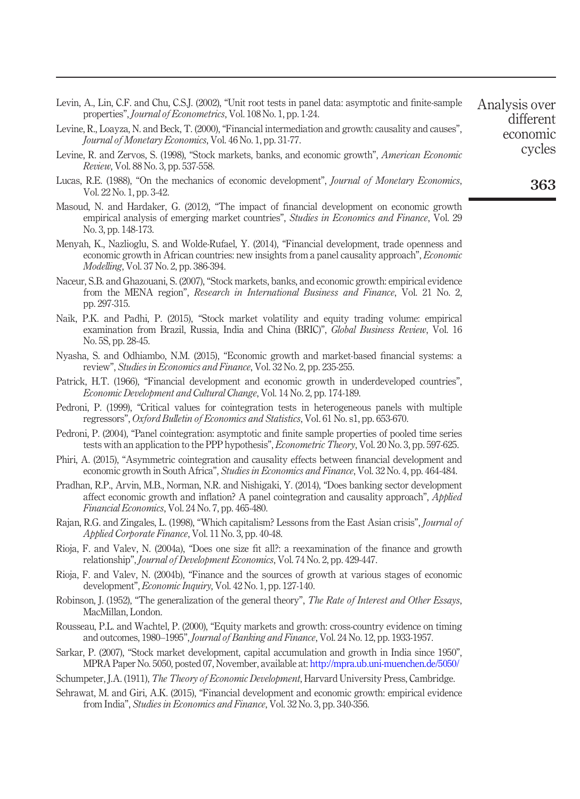| Levin, A., Lin, C.F. and Chu, C.S.J. (2002), "Unit root tests in panel data: asymptotic and finite-sample<br>properties", <i>Journal of Econometrics</i> , Vol. 108 No. 1, pp. 1-24. | Analysis over<br>different |
|--------------------------------------------------------------------------------------------------------------------------------------------------------------------------------------|----------------------------|
| Levine, R., Loayza, N. and Beck, T. (2000), "Financial intermediation and growth: causality and causes",<br>Journal of Monetary Economics, Vol. 46 No. 1, pp. 31-77.                 | economic                   |
| Levine, R. and Zervos, S. (1998), "Stock markets, banks, and economic growth", American Economic<br><i>Review, Vol.</i> 88 No. 3, pp. 537-558.                                       | cycles                     |
| Lucas, R.E. (1988), "On the mechanics of economic development", <i>Journal of Monetary Economics</i> ,<br>Vol. 22 No. 1, pp. 3-42.                                                   | 363                        |

- Masoud, N. and Hardaker, G. (2012), "The impact of financial development on economic growth empirical analysis of emerging market countries", *Studies in Economics and Finance*, Vol. 29 No. 3, pp. 148-173.
- Menyah, K., Nazlioglu, S. and Wolde-Rufael, Y. (2014), "Financial development, trade openness and economic growth in African countries: new insights from a panel causality approach", *Economic Modelling*, Vol. 37 No. 2, pp. 386-394.
- Naceur, S.B. and Ghazouani, S. (2007), "Stock markets, banks, and economic growth: empirical evidence from the MENA region", *Research in International Business and Finance*, Vol. 21 No. 2, pp. 297-315.
- Naik, P.K. and Padhi, P. (2015), "Stock market volatility and equity trading volume: empirical examination from Brazil, Russia, India and China (BRIC)", *Global Business Review*, Vol. 16 No. 5S, pp. 28-45.
- Nyasha, S. and Odhiambo, N.M. (2015), "Economic growth and market-based financial systems: a review", *Studies in Economics and Finance*, Vol. 32 No. 2, pp. 235-255.
- Patrick, H.T. (1966), "Financial development and economic growth in underdeveloped countries", *Economic Development and Cultural Change*, Vol. 14 No. 2, pp. 174-189.
- Pedroni, P. (1999), "Critical values for cointegration tests in heterogeneous panels with multiple regressors", *Oxford Bulletin of Economics and Statistics*, Vol. 61 No. s1, pp. 653-670.
- Pedroni, P. (2004), "Panel cointegration: asymptotic and finite sample properties of pooled time series tests with an application to the PPP hypothesis", *Econometric Theory*, Vol. 20 No. 3, pp. 597-625.
- Phiri, A. (2015), "Asymmetric cointegration and causality effects between financial development and economic growth in South Africa", *Studies in Economics and Finance*, Vol. 32 No. 4, pp. 464-484.
- Pradhan, R.P., Arvin, M.B., Norman, N.R. and Nishigaki, Y. (2014), "Does banking sector development affect economic growth and inflation? A panel cointegration and causality approach", *Applied Financial Economics*, Vol. 24 No. 7, pp. 465-480.
- Rajan, R.G. and Zingales, L. (1998), "Which capitalism? Lessons from the East Asian crisis", *Journal of Applied Corporate Finance*, Vol. 11 No. 3, pp. 40-48.
- Rioja, F. and Valev, N. (2004a), "Does one size fit all?: a reexamination of the finance and growth relationship", *Journal of Development Economics*, Vol. 74 No. 2, pp. 429-447.
- Rioja, F. and Valev, N. (2004b), "Finance and the sources of growth at various stages of economic development", *Economic Inquiry*, Vol. 42 No. 1, pp. 127-140.
- Robinson, J. (1952), "The generalization of the general theory", *The Rate of Interest and Other Essays*, MacMillan, London.
- Rousseau, P.L. and Wachtel, P. (2000), "Equity markets and growth: cross-country evidence on timing and outcomes, 1980–1995", *Journal of Banking and Finance*, Vol. 24 No. 12, pp. 1933-1957.
- Sarkar, P. (2007), "Stock market development, capital accumulation and growth in India since 1950", MPRA Paper No. 5050, posted 07, November, available at: http://mpra.ub.uni-muenchen.de/5050/
- Schumpeter, J.A. (1911), *The Theory of Economic Development*, Harvard University Press, Cambridge.
- Sehrawat, M. and Giri, A.K. (2015), "Financial development and economic growth: empirical evidence from India", *Studies in Economics and Finance*, Vol. 32 No. 3, pp. 340-356.